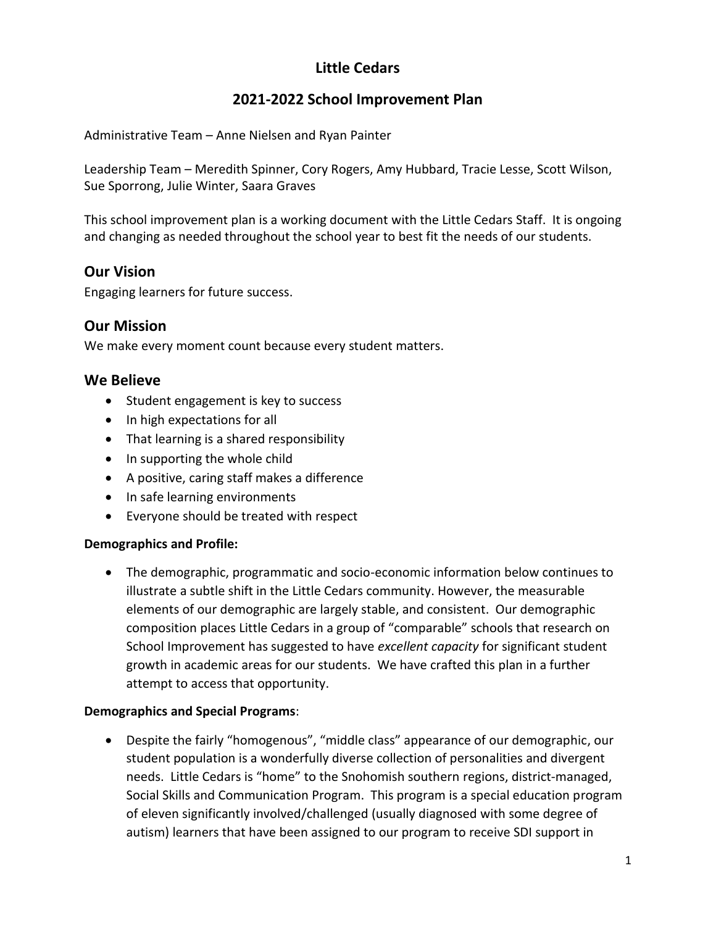# **Little Cedars**

# **2021-2022 School Improvement Plan**

Administrative Team – Anne Nielsen and Ryan Painter

Leadership Team – Meredith Spinner, Cory Rogers, Amy Hubbard, Tracie Lesse, Scott Wilson, Sue Sporrong, Julie Winter, Saara Graves

This school improvement plan is a working document with the Little Cedars Staff. It is ongoing and changing as needed throughout the school year to best fit the needs of our students.

## **Our Vision**

Engaging learners for future success.

## **Our Mission**

We make every moment count because every student matters.

## **We Believe**

- Student engagement is key to success
- In high expectations for all
- That learning is a shared responsibility
- In supporting the whole child
- A positive, caring staff makes a difference
- In safe learning environments
- Everyone should be treated with respect

## **Demographics and Profile:**

• The demographic, programmatic and socio-economic information below continues to illustrate a subtle shift in the Little Cedars community. However, the measurable elements of our demographic are largely stable, and consistent. Our demographic composition places Little Cedars in a group of "comparable" schools that research on School Improvement has suggested to have *excellent capacity* for significant student growth in academic areas for our students. We have crafted this plan in a further attempt to access that opportunity.

## **Demographics and Special Programs**:

• Despite the fairly "homogenous", "middle class" appearance of our demographic, our student population is a wonderfully diverse collection of personalities and divergent needs. Little Cedars is "home" to the Snohomish southern regions, district-managed, Social Skills and Communication Program. This program is a special education program of eleven significantly involved/challenged (usually diagnosed with some degree of autism) learners that have been assigned to our program to receive SDI support in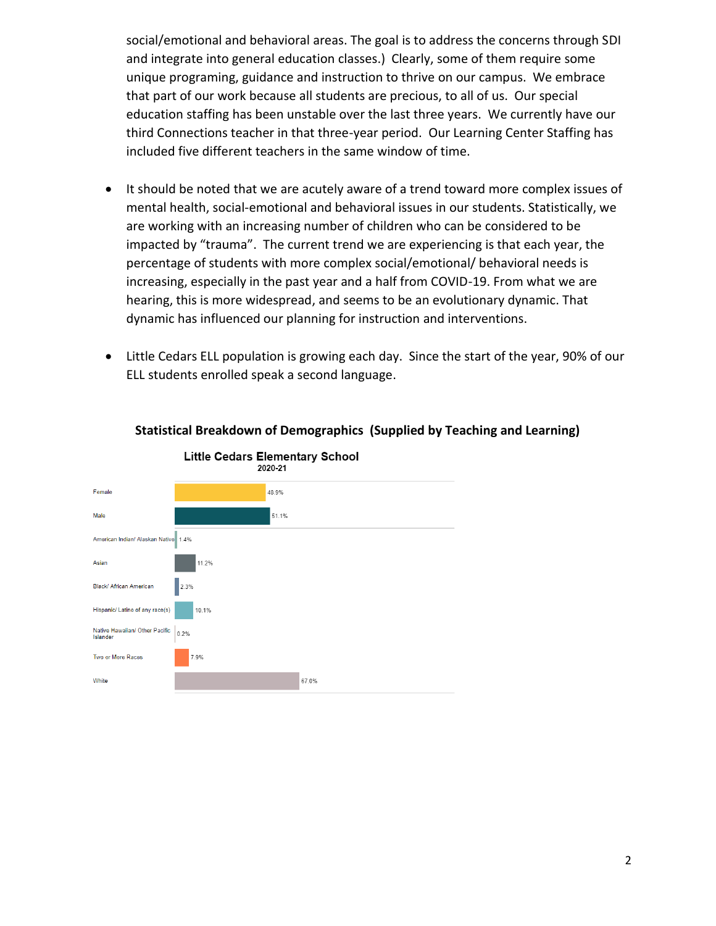social/emotional and behavioral areas. The goal is to address the concerns through SDI and integrate into general education classes.) Clearly, some of them require some unique programing, guidance and instruction to thrive on our campus. We embrace that part of our work because all students are precious, to all of us. Our special education staffing has been unstable over the last three years. We currently have our third Connections teacher in that three-year period. Our Learning Center Staffing has included five different teachers in the same window of time.

- It should be noted that we are acutely aware of a trend toward more complex issues of mental health, social-emotional and behavioral issues in our students. Statistically, we are working with an increasing number of children who can be considered to be impacted by "trauma". The current trend we are experiencing is that each year, the percentage of students with more complex social/emotional/ behavioral needs is increasing, especially in the past year and a half from COVID-19. From what we are hearing, this is more widespread, and seems to be an evolutionary dynamic. That dynamic has influenced our planning for instruction and interventions.
- Little Cedars ELL population is growing each day. Since the start of the year, 90% of our ELL students enrolled speak a second language.



#### **Statistical Breakdown of Demographics (Supplied by Teaching and Learning)**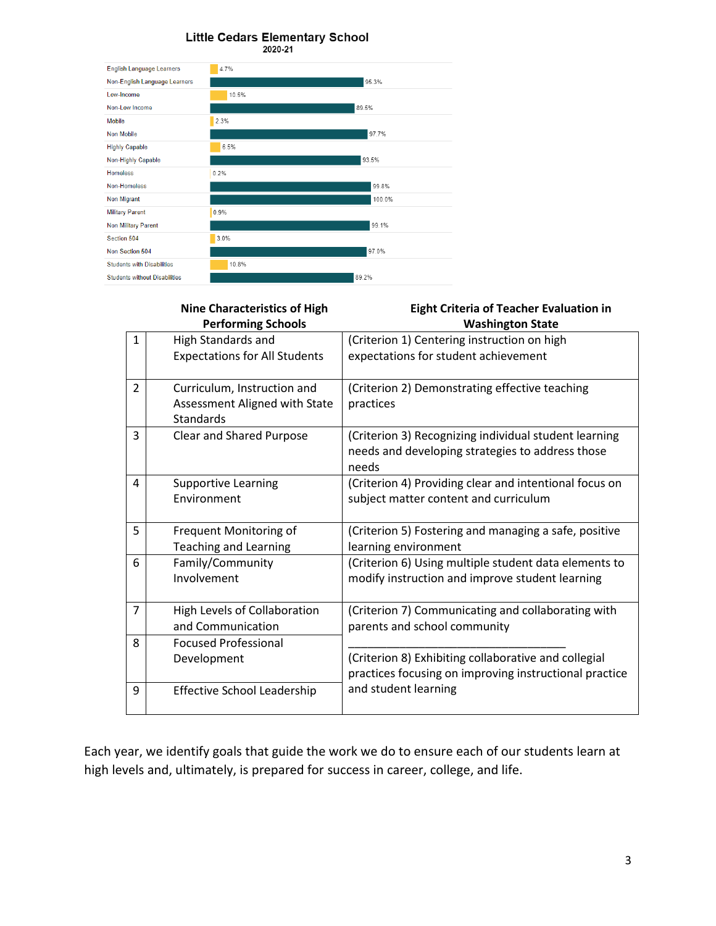#### **Little Cedars Elementary School** 2020-21



|                | <b>Nine Characteristics of High</b>                                              | <b>Eight Criteria of Teacher Evaluation in</b>                                                                     |
|----------------|----------------------------------------------------------------------------------|--------------------------------------------------------------------------------------------------------------------|
|                | <b>Performing Schools</b>                                                        | <b>Washington State</b>                                                                                            |
| $\mathbf{1}$   | High Standards and                                                               | (Criterion 1) Centering instruction on high                                                                        |
|                | <b>Expectations for All Students</b>                                             | expectations for student achievement                                                                               |
| $\overline{2}$ | Curriculum, Instruction and<br>Assessment Aligned with State<br><b>Standards</b> | (Criterion 2) Demonstrating effective teaching<br>practices                                                        |
| 3              | <b>Clear and Shared Purpose</b>                                                  | (Criterion 3) Recognizing individual student learning<br>needs and developing strategies to address those<br>needs |
| 4              | <b>Supportive Learning</b><br>Environment                                        | (Criterion 4) Providing clear and intentional focus on<br>subject matter content and curriculum                    |
| 5              | Frequent Monitoring of                                                           | (Criterion 5) Fostering and managing a safe, positive                                                              |
|                | <b>Teaching and Learning</b>                                                     | learning environment                                                                                               |
| 6              | Family/Community<br>Involvement                                                  | (Criterion 6) Using multiple student data elements to<br>modify instruction and improve student learning           |
| $\overline{7}$ | High Levels of Collaboration<br>and Communication                                | (Criterion 7) Communicating and collaborating with<br>parents and school community                                 |
| 8              | <b>Focused Professional</b>                                                      |                                                                                                                    |
|                | Development                                                                      | (Criterion 8) Exhibiting collaborative and collegial<br>practices focusing on improving instructional practice     |
| 9              | <b>Effective School Leadership</b>                                               | and student learning                                                                                               |

Each year, we identify goals that guide the work we do to ensure each of our students learn at high levels and, ultimately, is prepared for success in career, college, and life.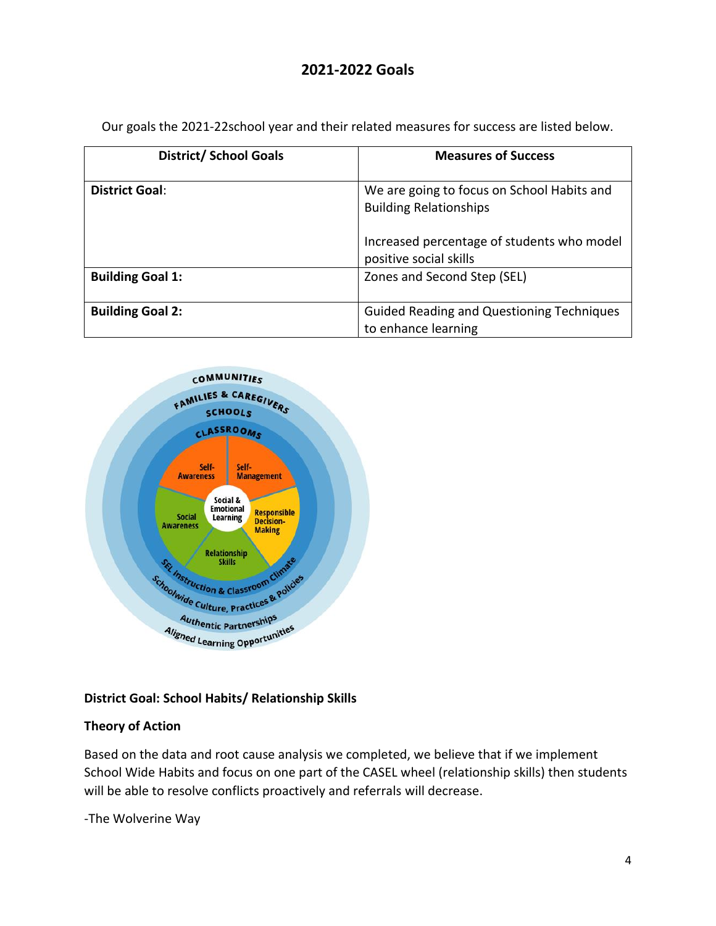# **2021-2022 Goals**

| <b>District/ School Goals</b> | <b>Measures of Success</b>                                                  |
|-------------------------------|-----------------------------------------------------------------------------|
| <b>District Goal:</b>         | We are going to focus on School Habits and<br><b>Building Relationships</b> |
|                               | Increased percentage of students who model<br>positive social skills        |
| <b>Building Goal 1:</b>       | Zones and Second Step (SEL)                                                 |
| <b>Building Goal 2:</b>       | <b>Guided Reading and Questioning Techniques</b><br>to enhance learning     |

Our goals the 2021-22school year and their related measures for success are listed below.



## **District Goal: School Habits/ Relationship Skills**

## **Theory of Action**

Based on the data and root cause analysis we completed, we believe that if we implement School Wide Habits and focus on one part of the CASEL wheel (relationship skills) then students will be able to resolve conflicts proactively and referrals will decrease.

-The Wolverine Way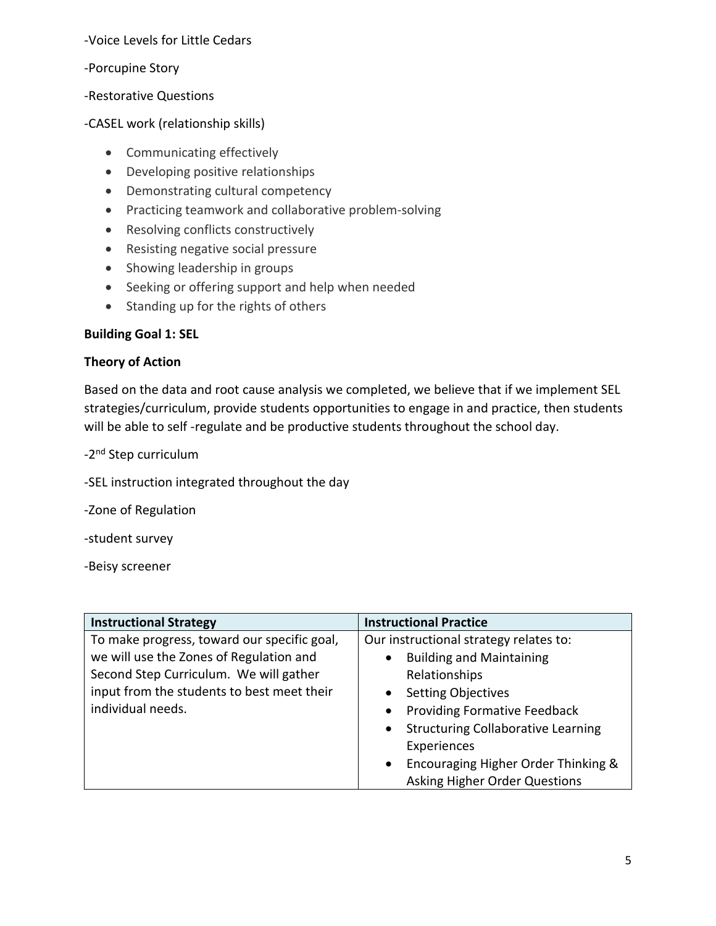-Voice Levels for Little Cedars

-Porcupine Story

-Restorative Questions

-CASEL work (relationship skills)

- Communicating effectively
- Developing positive relationships
- Demonstrating cultural competency
- Practicing teamwork and collaborative problem-solving
- Resolving conflicts constructively
- Resisting negative social pressure
- Showing leadership in groups
- Seeking or offering support and help when needed
- Standing up for the rights of others

## **Building Goal 1: SEL**

#### **Theory of Action**

Based on the data and root cause analysis we completed, we believe that if we implement SEL strategies/curriculum, provide students opportunities to engage in and practice, then students will be able to self -regulate and be productive students throughout the school day.

-2<sup>nd</sup> Step curriculum

-SEL instruction integrated throughout the day

-Zone of Regulation

-student survey

-Beisy screener

| <b>Instructional Strategy</b>               | <b>Instructional Practice</b>                          |
|---------------------------------------------|--------------------------------------------------------|
| To make progress, toward our specific goal, | Our instructional strategy relates to:                 |
| we will use the Zones of Regulation and     | <b>Building and Maintaining</b><br>$\bullet$           |
| Second Step Curriculum. We will gather      | Relationships                                          |
| input from the students to best meet their  | <b>Setting Objectives</b><br>$\bullet$                 |
| individual needs.                           | <b>Providing Formative Feedback</b><br>$\bullet$       |
|                                             | <b>Structuring Collaborative Learning</b><br>$\bullet$ |
|                                             | Experiences                                            |
|                                             | Encouraging Higher Order Thinking &<br>$\bullet$       |
|                                             | Asking Higher Order Questions                          |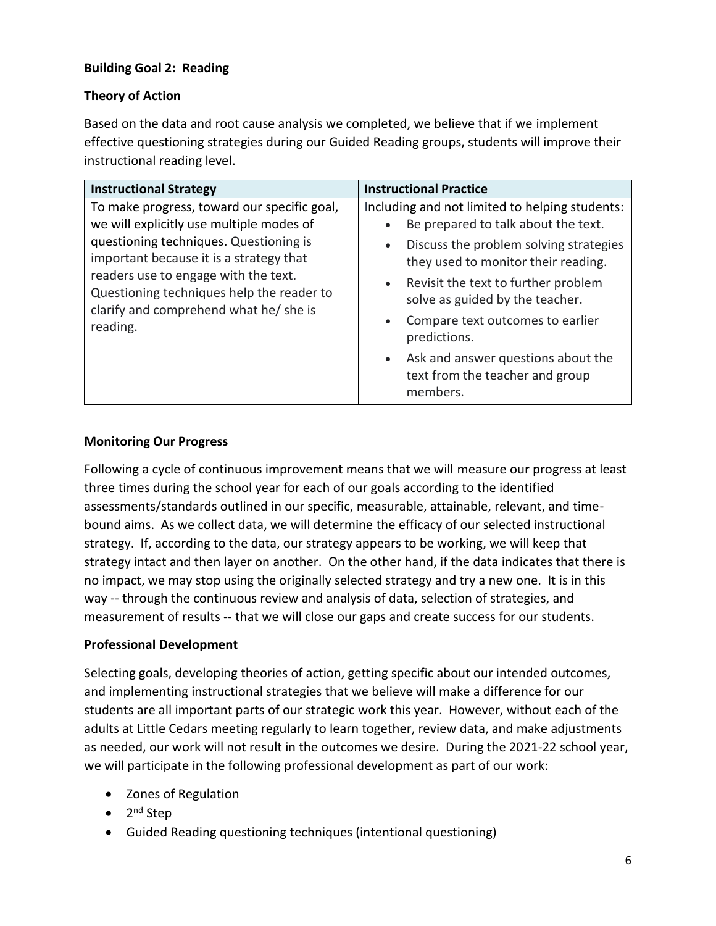## **Building Goal 2: Reading**

## **Theory of Action**

Based on the data and root cause analysis we completed, we believe that if we implement effective questioning strategies during our Guided Reading groups, students will improve their instructional reading level.

| <b>Instructional Strategy</b>                                                                                                                                          | <b>Instructional Practice</b>                                                                                                                                          |
|------------------------------------------------------------------------------------------------------------------------------------------------------------------------|------------------------------------------------------------------------------------------------------------------------------------------------------------------------|
| To make progress, toward our specific goal,<br>we will explicitly use multiple modes of                                                                                | Including and not limited to helping students:                                                                                                                         |
|                                                                                                                                                                        | Be prepared to talk about the text.                                                                                                                                    |
| questioning techniques. Questioning is<br>important because it is a strategy that<br>readers use to engage with the text.<br>Questioning techniques help the reader to | Discuss the problem solving strategies<br>$\bullet$<br>they used to monitor their reading.<br>• Revisit the text to further problem<br>solve as guided by the teacher. |
| clarify and comprehend what he/ she is<br>reading.                                                                                                                     | Compare text outcomes to earlier<br>$\bullet$<br>predictions.                                                                                                          |
|                                                                                                                                                                        | • Ask and answer questions about the<br>text from the teacher and group<br>members.                                                                                    |

#### **Monitoring Our Progress**

Following a cycle of continuous improvement means that we will measure our progress at least three times during the school year for each of our goals according to the identified assessments/standards outlined in our specific, measurable, attainable, relevant, and timebound aims. As we collect data, we will determine the efficacy of our selected instructional strategy. If, according to the data, our strategy appears to be working, we will keep that strategy intact and then layer on another. On the other hand, if the data indicates that there is no impact, we may stop using the originally selected strategy and try a new one. It is in this way -- through the continuous review and analysis of data, selection of strategies, and measurement of results -- that we will close our gaps and create success for our students.

## **Professional Development**

Selecting goals, developing theories of action, getting specific about our intended outcomes, and implementing instructional strategies that we believe will make a difference for our students are all important parts of our strategic work this year. However, without each of the adults at Little Cedars meeting regularly to learn together, review data, and make adjustments as needed, our work will not result in the outcomes we desire. During the 2021-22 school year, we will participate in the following professional development as part of our work:

- Zones of Regulation
- 2<sup>nd</sup> Step
- Guided Reading questioning techniques (intentional questioning)